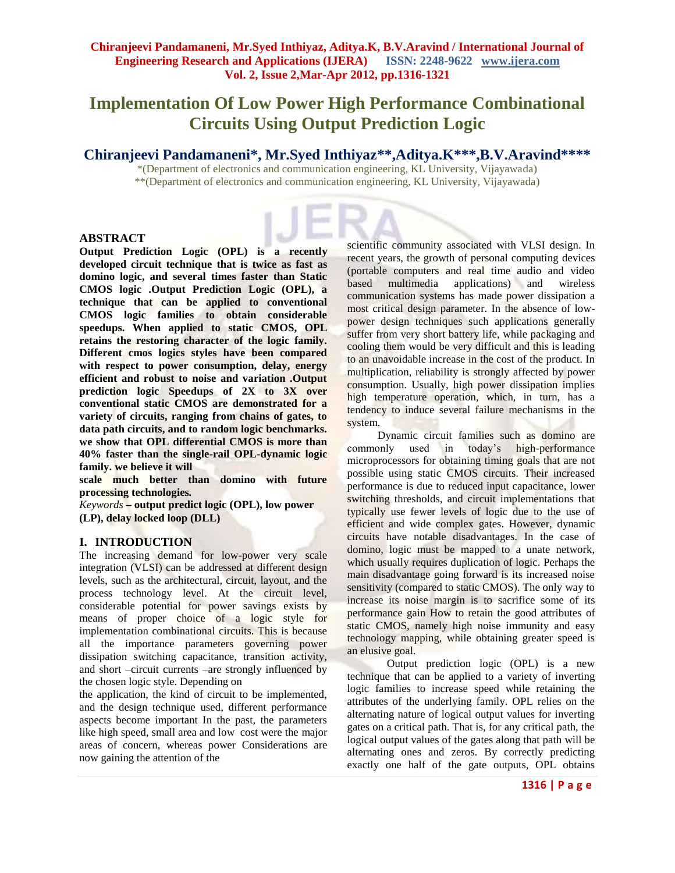# **Implementation Of Low Power High Performance Combinational Circuits Using Output Prediction Logic**

# **Chiranjeevi Pandamaneni\*, Mr.Syed Inthiyaz\*\*,Aditya.K\*\*\*,B.V.Aravind\*\*\*\***

\*(Department of electronics and communication engineering, KL University, Vijayawada) \*\*(Department of electronics and communication engineering, KL University, Vijayawada)

#### **ABSTRACT**

**Output Prediction Logic (OPL) is a recently developed circuit technique that is twice as fast as domino logic, and several times faster than Static CMOS logic .Output Prediction Logic (OPL), a technique that can be applied to conventional CMOS logic families to obtain considerable speedups. When applied to static CMOS, OPL retains the restoring character of the logic family. Different cmos logics styles have been compared with respect to power consumption, delay, energy efficient and robust to noise and variation .Output prediction logic Speedups of 2X to 3X over conventional static CMOS are demonstrated for a variety of circuits, ranging from chains of gates, to data path circuits, and to random logic benchmarks. we show that OPL differential CMOS is more than 40% faster than the single-rail OPL-dynamic logic family. we believe it will**

**scale much better than domino with future processing technologies***.*

*Keywords* **– output predict logic (OPL), low power (LP), delay locked loop (DLL)**

### **I. INTRODUCTION**

The increasing demand for low-power very scale integration (VLSI) can be addressed at different design levels, such as the architectural, circuit, layout, and the process technology level. At the circuit level, considerable potential for power savings exists by means of proper choice of a logic style for implementation combinational circuits. This is because all the importance parameters governing power dissipation switching capacitance, transition activity, and short –circuit currents –are strongly influenced by the chosen logic style. Depending on

the application, the kind of circuit to be implemented, and the design technique used, different performance aspects become important In the past, the parameters like high speed, small area and low cost were the major areas of concern, whereas power Considerations are now gaining the attention of the

scientific community associated with VLSI design. In recent years, the growth of personal computing devices (portable computers and real time audio and video based multimedia applications) and wireless communication systems has made power dissipation a most critical design parameter. In the absence of lowpower design techniques such applications generally suffer from very short battery life, while packaging and cooling them would be very difficult and this is leading to an unavoidable increase in the cost of the product. In multiplication, reliability is strongly affected by power consumption. Usually, high power dissipation implies high temperature operation, which, in turn, has a tendency to induce several failure mechanisms in the system.

 Dynamic circuit families such as domino are commonly used in today's high-performance microprocessors for obtaining timing goals that are not possible using static CMOS circuits. Their increased performance is due to reduced input capacitance, lower switching thresholds, and circuit implementations that typically use fewer levels of logic due to the use of efficient and wide complex gates. However, dynamic circuits have notable disadvantages. In the case of domino, logic must be mapped to a unate network, which usually requires duplication of logic. Perhaps the main disadvantage going forward is its increased noise sensitivity (compared to static CMOS). The only way to increase its noise margin is to sacrifice some of its performance gain How to retain the good attributes of static CMOS, namely high noise immunity and easy technology mapping, while obtaining greater speed is an elusive goal.

Output prediction logic (OPL) is a new technique that can be applied to a variety of inverting logic families to increase speed while retaining the attributes of the underlying family. OPL relies on the alternating nature of logical output values for inverting gates on a critical path. That is, for any critical path, the logical output values of the gates along that path will be alternating ones and zeros. By correctly predicting exactly one half of the gate outputs, OPL obtains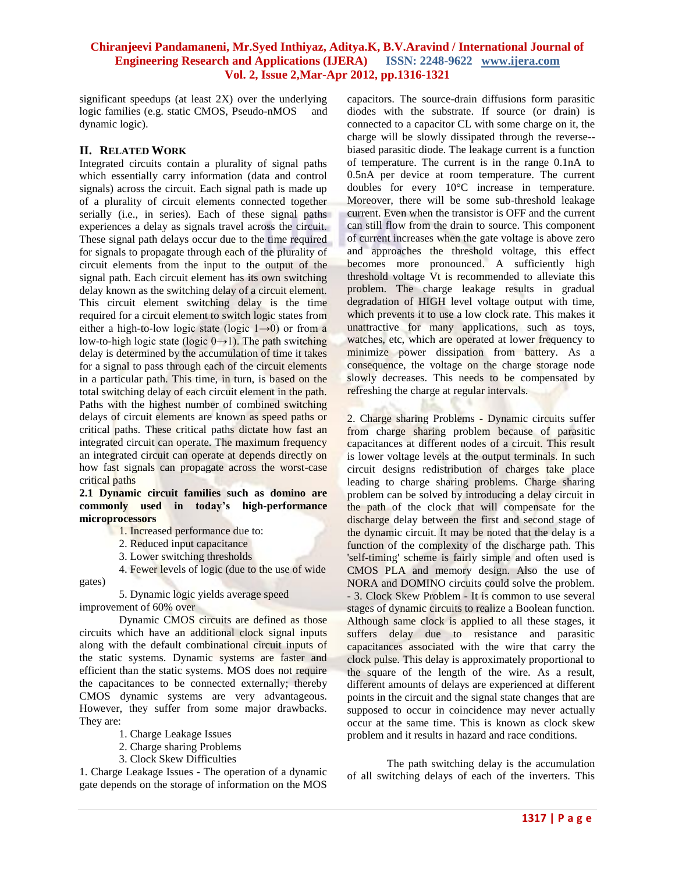significant speedups (at least 2X) over the underlying logic families (e.g. static CMOS, Pseudo-nMOS and dynamic logic).

### **II. RELATED WORK**

Integrated circuits contain a plurality of signal paths which essentially carry information (data and control signals) across the circuit. Each signal path is made up of a plurality of circuit elements connected together serially (i.e., in series). Each of these signal paths experiences a delay as signals travel across the circuit. These signal path delays occur due to the time required for signals to propagate through each of the plurality of circuit elements from the input to the output of the signal path. Each circuit element has its own switching delay known as the switching delay of a circuit element. This circuit element switching delay is the time required for a circuit element to switch logic states from either a high-to-low logic state (logic  $1\rightarrow 0$ ) or from a low-to-high logic state (logic  $0\rightarrow 1$ ). The path switching delay is determined by the accumulation of time it takes for a signal to pass through each of the circuit elements in a particular path. This time, in turn, is based on the total switching delay of each circuit element in the path. Paths with the highest number of combined switching delays of circuit elements are known as speed paths or critical paths. These critical paths dictate how fast an integrated circuit can operate. The maximum frequency an integrated circuit can operate at depends directly on how fast signals can propagate across the worst-case critical paths

**2.1 Dynamic circuit families such as domino are commonly used in today's high-performance microprocessors**

1. Increased performance due to:

2. Reduced input capacitance

3. Lower switching thresholds

4. Fewer levels of logic (due to the use of wide

5. Dynamic logic yields average speed improvement of 60% over

gates)

Dynamic CMOS circuits are defined as those circuits which have an additional clock signal inputs along with the default combinational circuit inputs of the static systems. Dynamic systems are faster and efficient than the static systems. MOS does not require the capacitances to be connected externally; thereby CMOS dynamic systems are very advantageous. However, they suffer from some major drawbacks. They are:

- 1. Charge Leakage Issues
- 2. Charge sharing Problems
- 3. Clock Skew Difficulties

1. Charge Leakage Issues - The operation of a dynamic gate depends on the storage of information on the MOS capacitors. The source-drain diffusions form parasitic diodes with the substrate. If source (or drain) is connected to a capacitor CL with some charge on it, the charge will be slowly dissipated through the reverse- biased parasitic diode. The leakage current is a function of temperature. The current is in the range 0.1nA to 0.5nA per device at room temperature. The current doubles for every 10°C increase in temperature. Moreover, there will be some sub-threshold leakage current. Even when the transistor is OFF and the current can still flow from the drain to source. This component of current increases when the gate voltage is above zero and approaches the threshold voltage, this effect becomes more pronounced. A sufficiently high threshold voltage Vt is recommended to alleviate this problem. The charge leakage results in gradual degradation of HIGH level voltage output with time, which prevents it to use a low clock rate. This makes it unattractive for many applications, such as toys, watches, etc, which are operated at lower frequency to minimize power dissipation from battery. As a consequence, the voltage on the charge storage node slowly decreases. This needs to be compensated by refreshing the charge at regular intervals.

2. Charge sharing Problems - Dynamic circuits suffer from charge sharing problem because of parasitic capacitances at different nodes of a circuit. This result is lower voltage levels at the output terminals. In such circuit designs redistribution of charges take place leading to charge sharing problems. Charge sharing problem can be solved by introducing a delay circuit in the path of the clock that will compensate for the discharge delay between the first and second stage of the dynamic circuit. It may be noted that the delay is a function of the complexity of the discharge path. This 'self-timing' scheme is fairly simple and often used is CMOS PLA and memory design. Also the use of NORA and DOMINO circuits could solve the problem. - 3. Clock Skew Problem - It is common to use several stages of dynamic circuits to realize a Boolean function. Although same clock is applied to all these stages, it suffers delay due to resistance and parasitic capacitances associated with the wire that carry the clock pulse. This delay is approximately proportional to the square of the length of the wire. As a result, different amounts of delays are experienced at different points in the circuit and the signal state changes that are supposed to occur in coincidence may never actually occur at the same time. This is known as clock skew problem and it results in hazard and race conditions.

The path switching delay is the accumulation of all switching delays of each of the inverters. This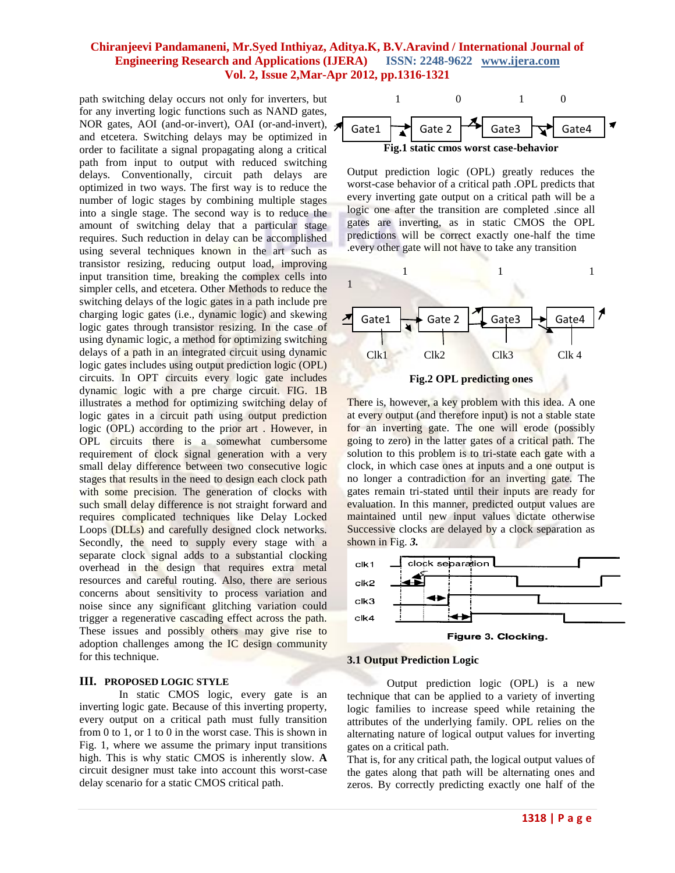path switching delay occurs not only for inverters, but for any inverting logic functions such as NAND gates, NOR gates, AOI (and-or-invert), OAI (or-and-invert), and etcetera. Switching delays may be optimized in order to facilitate a signal propagating along a critical path from input to output with reduced switching delays. Conventionally, circuit path delays are optimized in two ways. The first way is to reduce the number of logic stages by combining multiple stages into a single stage. The second way is to reduce the amount of switching delay that a particular stage requires. Such reduction in delay can be accomplished using several techniques known in the art such as transistor resizing, reducing output load, improving input transition time, breaking the complex cells into simpler cells, and etcetera. Other Methods to reduce the switching delays of the logic gates in a path include pre charging logic gates (i.e., dynamic logic) and skewing logic gates through transistor resizing. In the case of using dynamic logic, a method for optimizing switching delays of a path in an integrated circuit using dynamic logic gates includes using output prediction logic (OPL) circuits. In OPT circuits every logic gate includes dynamic logic with a pre charge circuit. FIG. 1B illustrates a method for optimizing switching delay of logic gates in a circuit path using output prediction logic (OPL) according to the prior art . However, in OPL circuits there is a somewhat cumbersome requirement of clock signal generation with a very small delay difference between two consecutive logic stages that results in the need to design each clock path with some precision. The generation of clocks with such small delay difference is not straight forward and requires complicated techniques like Delay Locked Loops (DLLs) and carefully designed clock networks. Secondly, the need to supply every stage with a separate clock signal adds to a substantial clocking overhead in the design that requires extra metal resources and careful routing. Also, there are serious concerns about sensitivity to process variation and noise since any significant glitching variation could trigger a regenerative cascading effect across the path. These issues and possibly others may give rise to adoption challenges among the IC design community for this technique.

#### **III. PROPOSED LOGIC STYLE**

In static CMOS logic, every gate is an inverting logic gate. Because of this inverting property, every output on a critical path must fully transition from 0 to 1, or 1 to 0 in the worst case. This is shown in Fig. 1, where we assume the primary input transitions high. This is why static CMOS is inherently slow. **A**  circuit designer must take into account this worst-case delay scenario for a static CMOS critical path.



Output prediction logic (OPL) greatly reduces the worst-case behavior of a critical path .OPL predicts that every inverting gate output on a critical path will be a logic one after the transition are completed .since all gates are inverting, as in static CMOS the OPL predictions will be correct exactly one-half the time .every other gate will not have to take any transition





There is, however, a key problem with this idea. A one at every output (and therefore input) is not a stable state for an inverting gate. The one will erode (possibly going to zero) in the latter gates of a critical path. The solution to this problem is to tri-state each gate with a clock, in which case ones at inputs and a one output is no longer a contradiction for an inverting gate. The gates remain tri-stated until their inputs are ready for evaluation. In this manner, predicted output values are maintained until new input values dictate otherwise Successive clocks are delayed by a clock separation as shown in Fig. *3.*



#### **3.1 Output Prediction Logic**

Output prediction logic (OPL) is a new technique that can be applied to a variety of inverting logic families to increase speed while retaining the attributes of the underlying family. OPL relies on the alternating nature of logical output values for inverting gates on a critical path.

That is, for any critical path, the logical output values of the gates along that path will be alternating ones and zeros. By correctly predicting exactly one half of the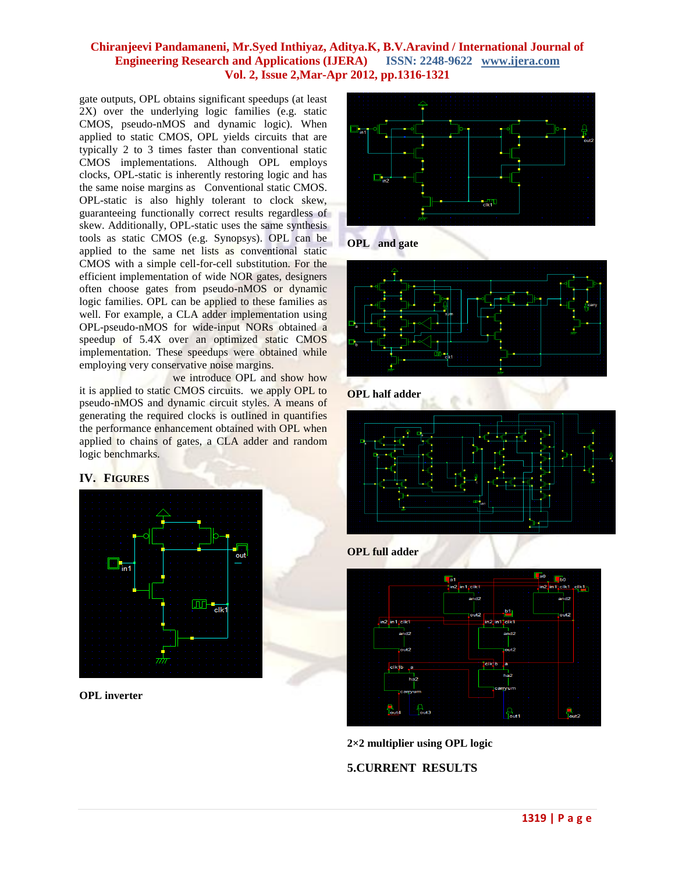gate outputs, OPL obtains significant speedups (at least 2X) over the underlying logic families (e.g. static CMOS, pseudo-nMOS and dynamic logic). When applied to static CMOS, OPL yields circuits that are typically 2 to 3 times faster than conventional static CMOS implementations. Although OPL employs clocks, OPL-static is inherently restoring logic and has the same noise margins as Conventional static CMOS. OPL-static is also highly tolerant to clock skew, guaranteeing functionally correct results regardless of skew. Additionally, OPL-static uses the same synthesis tools as static CMOS (e.g. Synopsys). OPL can be applied to the same net lists as conventional static CMOS with a simple cell-for-cell substitution. For the efficient implementation of wide NOR gates, designers often choose gates from pseudo-nMOS or dynamic logic families. OPL can be applied to these families as well. For example, a CLA adder implementation using OPL-pseudo-nMOS for wide-input NORs obtained a speedup of 5.4X over an optimized static CMOS implementation. These speedups were obtained while employing very conservative noise margins.

we introduce OPL and show how it is applied to static CMOS circuits. we apply OPL to pseudo-nMOS and dynamic circuit styles. A means of generating the required clocks is outlined in quantifies the performance enhancement obtained with OPL when applied to chains of gates, a CLA adder and random logic benchmarks.

### **IV. FIGURES**



**OPL inverter**



**OPL and gate**



**OPL half adder** 



### **OPL full adder**



**2×2 multiplier using OPL logic** 

### **5.CURRENT RESULTS**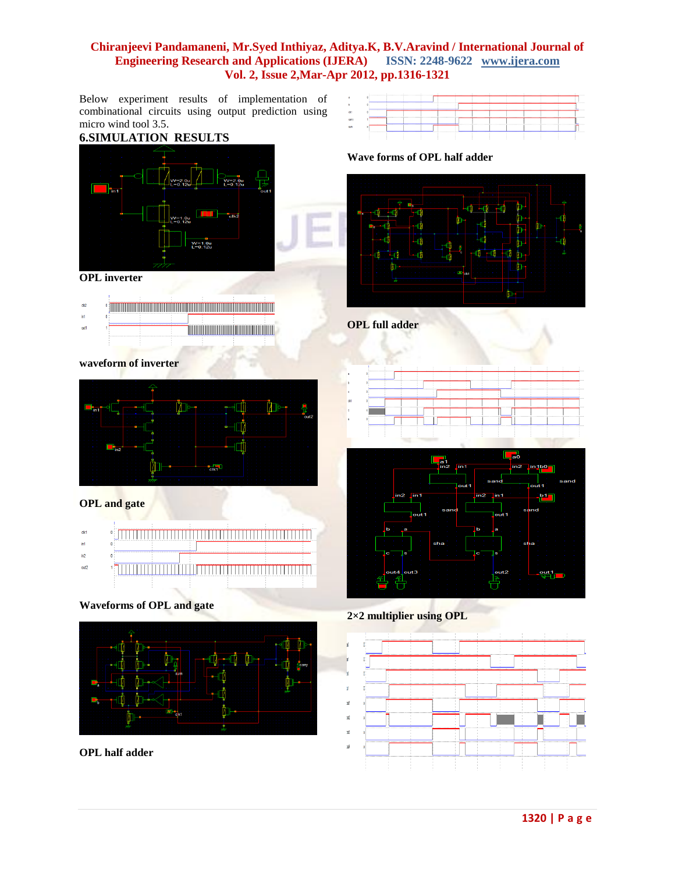Below experiment results of implementation of combinational circuits using output prediction using micro wind tool 3.5.

## **6.SIMULATION RESULTS**



# **OPL inverter**



# **waveform of inverter**



### **OPL and gate**

- cikt <u> ANTIQUE E EN 19</u> **THE LE** inf  $n2$
- out<sub>2</sub>

## **Waveforms of OPL and gate**



# **OPL half adder**



**Wave forms of OPL half adder** 



**OPL full adder**





## **2×2 multiplier using OPL**